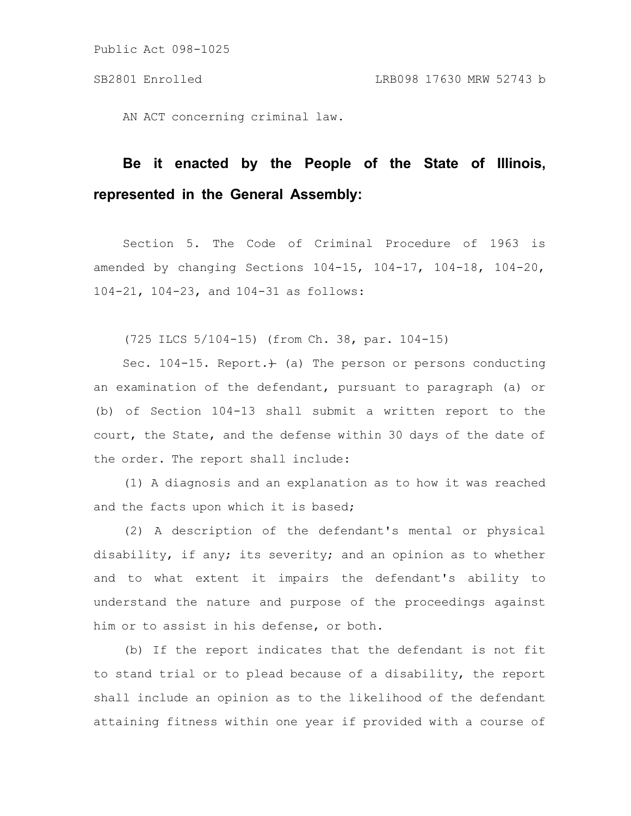AN ACT concerning criminal law.

# **Be it enacted by the People of the State of Illinois, represented in the General Assembly:**

Section 5. The Code of Criminal Procedure of 1963 is amended by changing Sections 104-15, 104-17, 104-18, 104-20, 104-21, 104-23, and 104-31 as follows:

(725 ILCS 5/104-15) (from Ch. 38, par. 104-15)

Sec. 104-15. Report. $)$  (a) The person or persons conducting an examination of the defendant, pursuant to paragraph (a) or (b) of Section 104-13 shall submit a written report to the court, the State, and the defense within 30 days of the date of the order. The report shall include:

(1) A diagnosis and an explanation as to how it was reached and the facts upon which it is based;

(2) A description of the defendant's mental or physical disability, if any; its severity; and an opinion as to whether and to what extent it impairs the defendant's ability to understand the nature and purpose of the proceedings against him or to assist in his defense, or both.

(b) If the report indicates that the defendant is not fit to stand trial or to plead because of a disability, the report shall include an opinion as to the likelihood of the defendant attaining fitness within one year if provided with a course of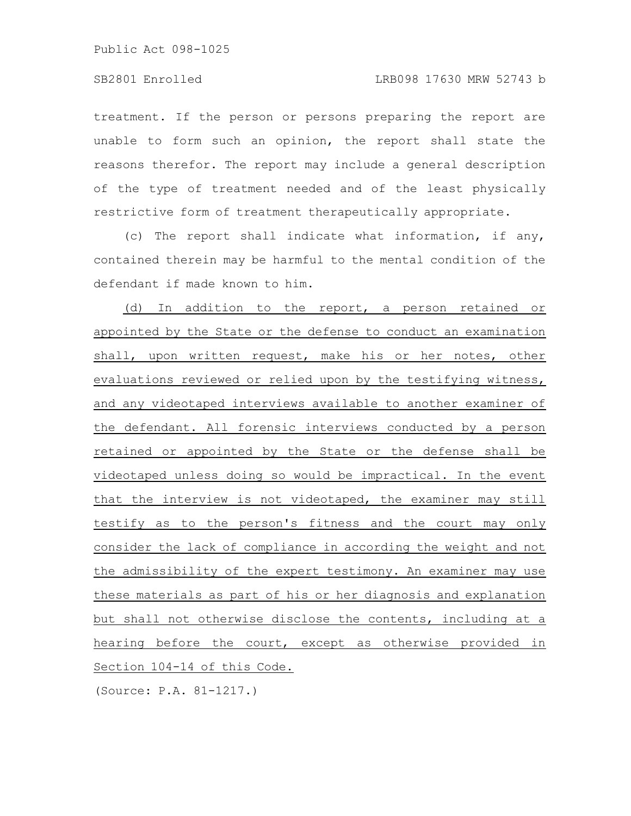treatment. If the person or persons preparing the report are unable to form such an opinion, the report shall state the reasons therefor. The report may include a general description of the type of treatment needed and of the least physically restrictive form of treatment therapeutically appropriate.

(c) The report shall indicate what information, if any, contained therein may be harmful to the mental condition of the defendant if made known to him.

(d) In addition to the report, a person retained or appointed by the State or the defense to conduct an examination shall, upon written request, make his or her notes, other evaluations reviewed or relied upon by the testifying witness, and any videotaped interviews available to another examiner of the defendant. All forensic interviews conducted by a person retained or appointed by the State or the defense shall be videotaped unless doing so would be impractical. In the event that the interview is not videotaped, the examiner may still testify as to the person's fitness and the court may only consider the lack of compliance in according the weight and not the admissibility of the expert testimony. An examiner may use these materials as part of his or her diagnosis and explanation but shall not otherwise disclose the contents, including at a hearing before the court, except as otherwise provided in Section 104-14 of this Code.

(Source: P.A. 81-1217.)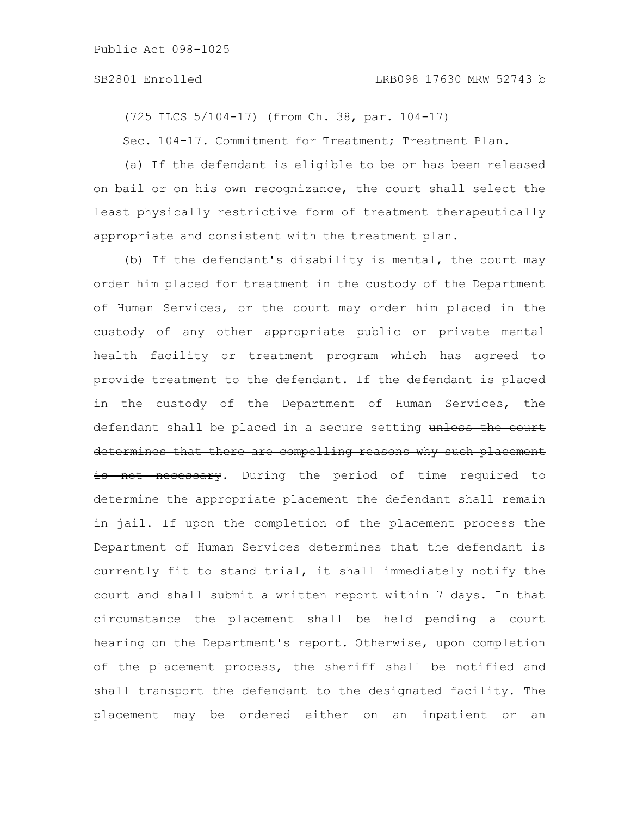(725 ILCS 5/104-17) (from Ch. 38, par. 104-17)

Sec. 104-17. Commitment for Treatment; Treatment Plan.

(a) If the defendant is eligible to be or has been released on bail or on his own recognizance, the court shall select the least physically restrictive form of treatment therapeutically appropriate and consistent with the treatment plan.

(b) If the defendant's disability is mental, the court may order him placed for treatment in the custody of the Department of Human Services, or the court may order him placed in the custody of any other appropriate public or private mental health facility or treatment program which has agreed to provide treatment to the defendant. If the defendant is placed in the custody of the Department of Human Services, the defendant shall be placed in a secure setting unless the court determines that there are compelling reasons why such placement is not necessary. During the period of time required to determine the appropriate placement the defendant shall remain in jail. If upon the completion of the placement process the Department of Human Services determines that the defendant is currently fit to stand trial, it shall immediately notify the court and shall submit a written report within 7 days. In that circumstance the placement shall be held pending a court hearing on the Department's report. Otherwise, upon completion of the placement process, the sheriff shall be notified and shall transport the defendant to the designated facility. The placement may be ordered either on an inpatient or an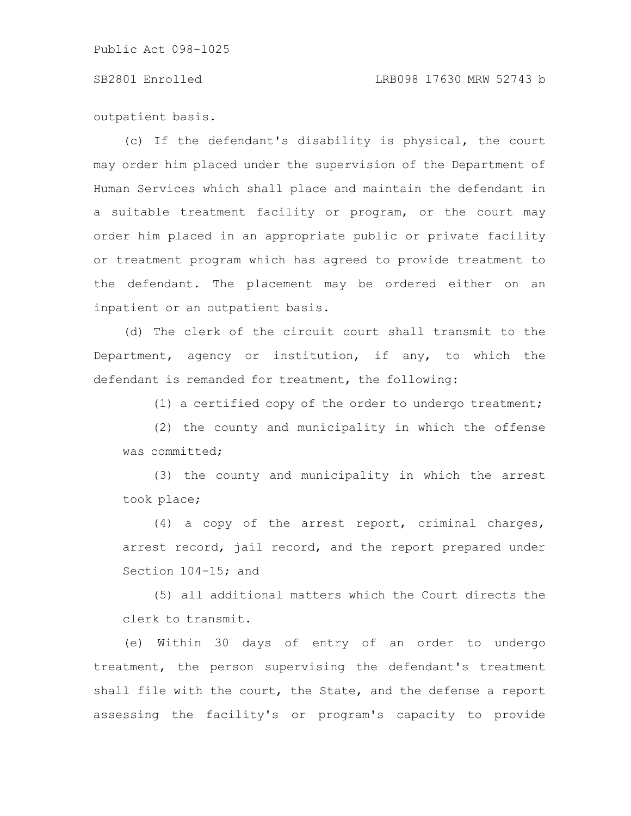### SB2801 Enrolled LRB098 17630 MRW 52743 b

outpatient basis.

(c) If the defendant's disability is physical, the court may order him placed under the supervision of the Department of Human Services which shall place and maintain the defendant in a suitable treatment facility or program, or the court may order him placed in an appropriate public or private facility or treatment program which has agreed to provide treatment to the defendant. The placement may be ordered either on an inpatient or an outpatient basis.

(d) The clerk of the circuit court shall transmit to the Department, agency or institution, if any, to which the defendant is remanded for treatment, the following:

(1) a certified copy of the order to undergo treatment;

(2) the county and municipality in which the offense was committed;

(3) the county and municipality in which the arrest took place;

(4) a copy of the arrest report, criminal charges, arrest record, jail record, and the report prepared under Section 104-15; and

(5) all additional matters which the Court directs the clerk to transmit.

(e) Within 30 days of entry of an order to undergo treatment, the person supervising the defendant's treatment shall file with the court, the State, and the defense a report assessing the facility's or program's capacity to provide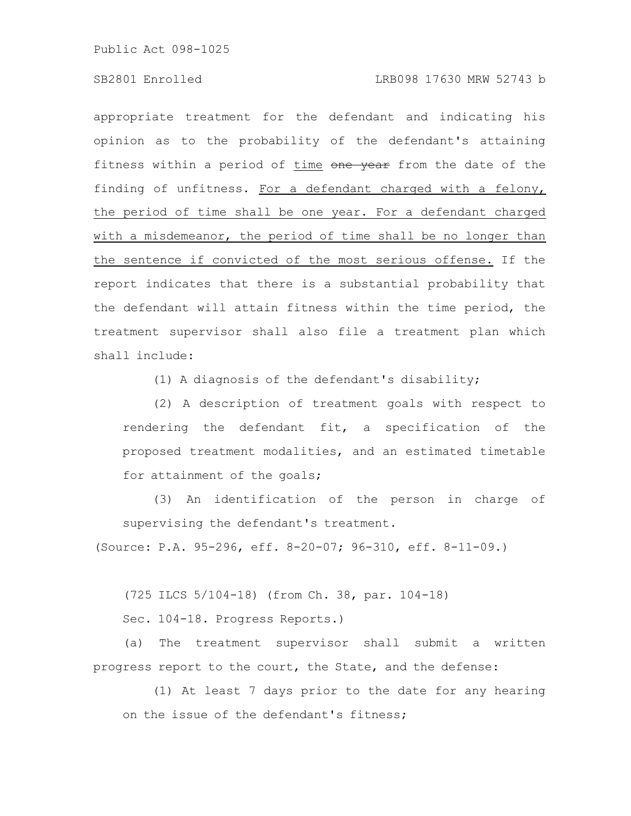appropriate treatment for the defendant and indicating his opinion as to the probability of the defendant's attaining fitness within a period of time one year from the date of the finding of unfitness. For a defendant charged with a felony, the period of time shall be one year. For a defendant charged with a misdemeanor, the period of time shall be no longer than the sentence if convicted of the most serious offense. If the report indicates that there is a substantial probability that the defendant will attain fitness within the time period, the treatment supervisor shall also file a treatment plan which shall include:

(1) A diagnosis of the defendant's disability;

(2) A description of treatment goals with respect to rendering the defendant fit, a specification of the proposed treatment modalities, and an estimated timetable for attainment of the goals;

(3) An identification of the person in charge of supervising the defendant's treatment.

(Source: P.A. 95-296, eff. 8-20-07; 96-310, eff. 8-11-09.)

(725 ILCS 5/104-18) (from Ch. 38, par. 104-18)

Sec. 104-18. Progress Reports.)

(a) The treatment supervisor shall submit a written progress report to the court, the State, and the defense:

(1) At least 7 days prior to the date for any hearing on the issue of the defendant's fitness;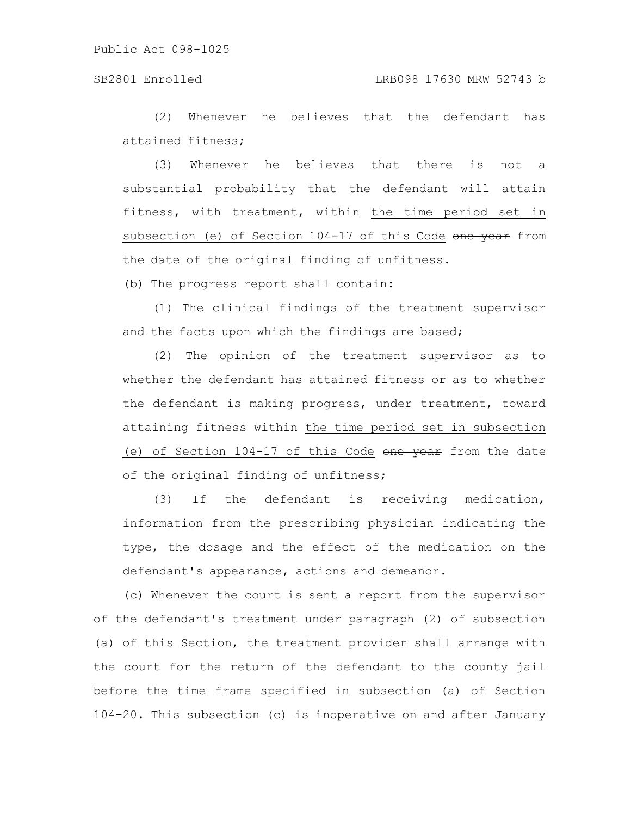(2) Whenever he believes that the defendant has attained fitness;

(3) Whenever he believes that there is not a substantial probability that the defendant will attain fitness, with treatment, within the time period set in subsection (e) of Section 104-17 of this Code one year from the date of the original finding of unfitness.

(b) The progress report shall contain:

(1) The clinical findings of the treatment supervisor and the facts upon which the findings are based;

(2) The opinion of the treatment supervisor as to whether the defendant has attained fitness or as to whether the defendant is making progress, under treatment, toward attaining fitness within the time period set in subsection (e) of Section  $104-17$  of this Code one year from the date of the original finding of unfitness;

(3) If the defendant is receiving medication, information from the prescribing physician indicating the type, the dosage and the effect of the medication on the defendant's appearance, actions and demeanor.

(c) Whenever the court is sent a report from the supervisor of the defendant's treatment under paragraph (2) of subsection (a) of this Section, the treatment provider shall arrange with the court for the return of the defendant to the county jail before the time frame specified in subsection (a) of Section 104-20. This subsection (c) is inoperative on and after January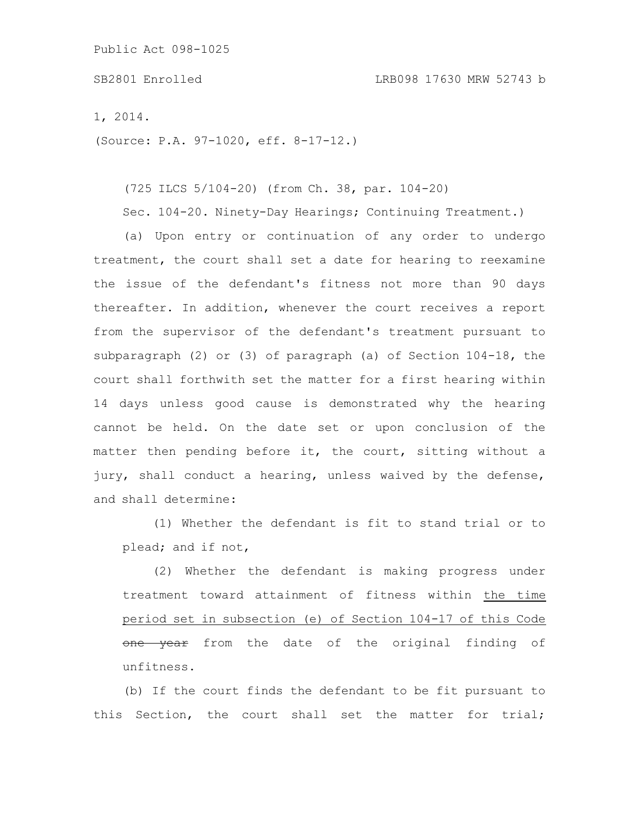### SB2801 Enrolled LRB098 17630 MRW 52743 b

1, 2014.

(Source: P.A. 97-1020, eff. 8-17-12.)

(725 ILCS 5/104-20) (from Ch. 38, par. 104-20)

Sec. 104-20. Ninety-Day Hearings; Continuing Treatment.)

(a) Upon entry or continuation of any order to undergo treatment, the court shall set a date for hearing to reexamine the issue of the defendant's fitness not more than 90 days thereafter. In addition, whenever the court receives a report from the supervisor of the defendant's treatment pursuant to subparagraph (2) or (3) of paragraph (a) of Section 104-18, the court shall forthwith set the matter for a first hearing within 14 days unless good cause is demonstrated why the hearing cannot be held. On the date set or upon conclusion of the matter then pending before it, the court, sitting without a jury, shall conduct a hearing, unless waived by the defense, and shall determine:

(1) Whether the defendant is fit to stand trial or to plead; and if not,

(2) Whether the defendant is making progress under treatment toward attainment of fitness within the time period set in subsection (e) of Section 104-17 of this Code one year from the date of the original finding of unfitness.

(b) If the court finds the defendant to be fit pursuant to this Section, the court shall set the matter for trial;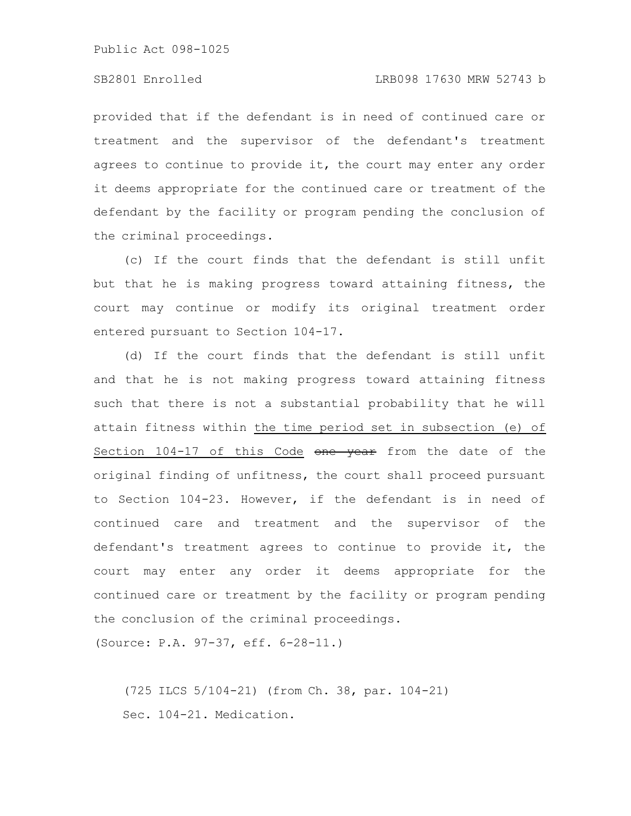provided that if the defendant is in need of continued care or treatment and the supervisor of the defendant's treatment agrees to continue to provide it, the court may enter any order it deems appropriate for the continued care or treatment of the defendant by the facility or program pending the conclusion of the criminal proceedings.

(c) If the court finds that the defendant is still unfit but that he is making progress toward attaining fitness, the court may continue or modify its original treatment order entered pursuant to Section 104-17.

(d) If the court finds that the defendant is still unfit and that he is not making progress toward attaining fitness such that there is not a substantial probability that he will attain fitness within the time period set in subsection (e) of Section 104-17 of this Code one year from the date of the original finding of unfitness, the court shall proceed pursuant to Section 104-23. However, if the defendant is in need of continued care and treatment and the supervisor of the defendant's treatment agrees to continue to provide it, the court may enter any order it deems appropriate for the continued care or treatment by the facility or program pending the conclusion of the criminal proceedings.

(Source: P.A. 97-37, eff. 6-28-11.)

(725 ILCS 5/104-21) (from Ch. 38, par. 104-21) Sec. 104-21. Medication.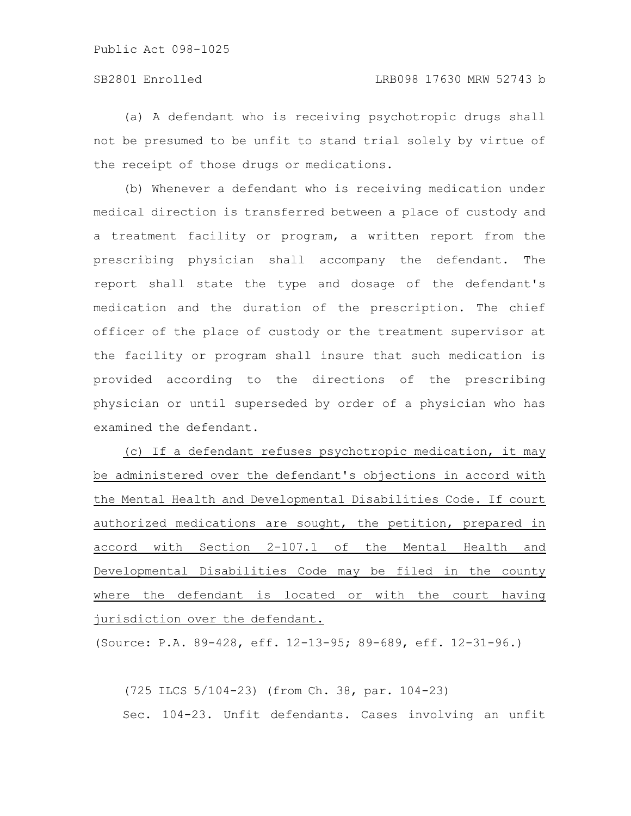(a) A defendant who is receiving psychotropic drugs shall not be presumed to be unfit to stand trial solely by virtue of the receipt of those drugs or medications.

(b) Whenever a defendant who is receiving medication under medical direction is transferred between a place of custody and a treatment facility or program, a written report from the prescribing physician shall accompany the defendant. The report shall state the type and dosage of the defendant's medication and the duration of the prescription. The chief officer of the place of custody or the treatment supervisor at the facility or program shall insure that such medication is provided according to the directions of the prescribing physician or until superseded by order of a physician who has examined the defendant.

(c) If a defendant refuses psychotropic medication, it may be administered over the defendant's objections in accord with the Mental Health and Developmental Disabilities Code. If court authorized medications are sought, the petition, prepared in accord with Section 2-107.1 of the Mental Health and Developmental Disabilities Code may be filed in the county where the defendant is located or with the court having jurisdiction over the defendant.

(Source: P.A. 89-428, eff. 12-13-95; 89-689, eff. 12-31-96.)

(725 ILCS 5/104-23) (from Ch. 38, par. 104-23) Sec. 104-23. Unfit defendants. Cases involving an unfit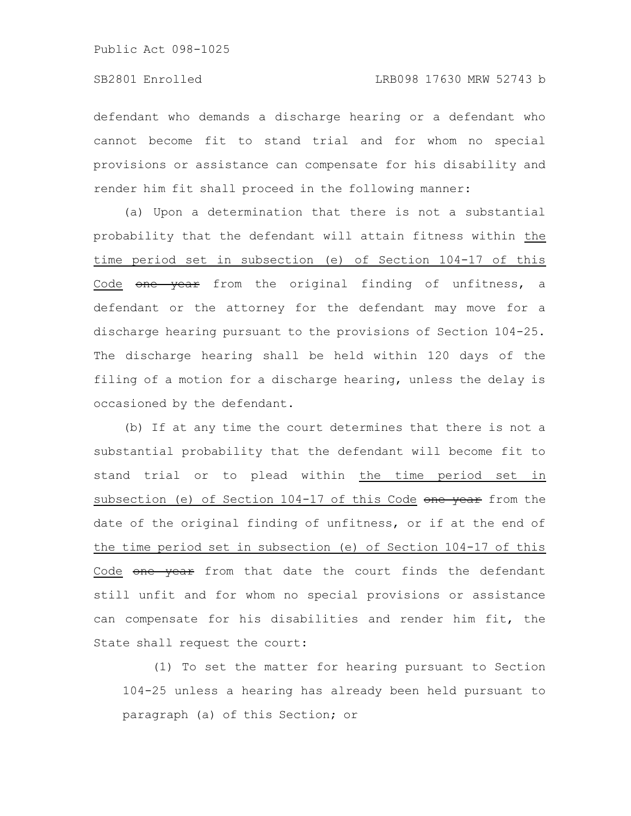defendant who demands a discharge hearing or a defendant who cannot become fit to stand trial and for whom no special provisions or assistance can compensate for his disability and render him fit shall proceed in the following manner:

(a) Upon a determination that there is not a substantial probability that the defendant will attain fitness within the time period set in subsection (e) of Section 104-17 of this Code one year from the original finding of unfitness, a defendant or the attorney for the defendant may move for a discharge hearing pursuant to the provisions of Section 104-25. The discharge hearing shall be held within 120 days of the filing of a motion for a discharge hearing, unless the delay is occasioned by the defendant.

(b) If at any time the court determines that there is not a substantial probability that the defendant will become fit to stand trial or to plead within the time period set in subsection (e) of Section 104-17 of this Code one year from the date of the original finding of unfitness, or if at the end of the time period set in subsection (e) of Section 104-17 of this Code one year from that date the court finds the defendant still unfit and for whom no special provisions or assistance can compensate for his disabilities and render him fit, the State shall request the court:

(1) To set the matter for hearing pursuant to Section 104-25 unless a hearing has already been held pursuant to paragraph (a) of this Section; or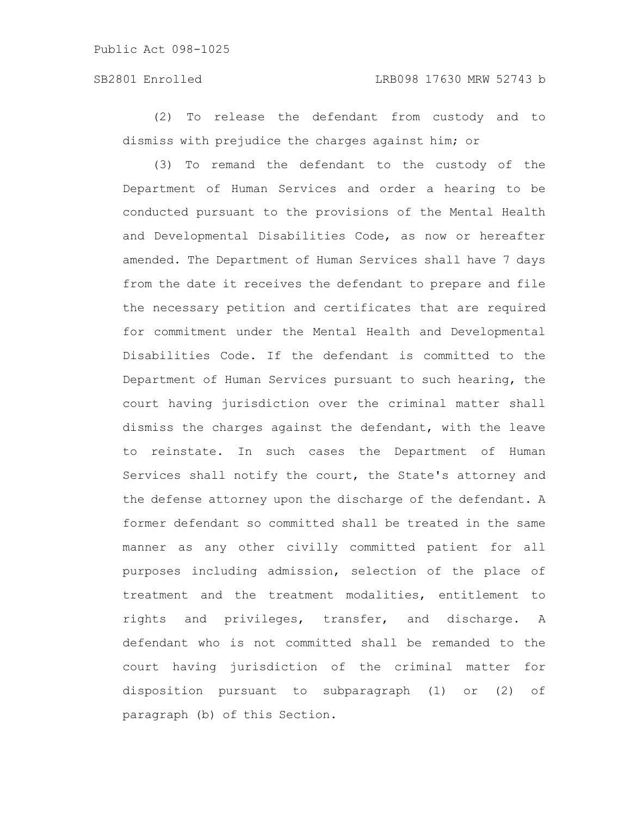### SB2801 Enrolled LRB098 17630 MRW 52743 b

(2) To release the defendant from custody and to dismiss with prejudice the charges against him; or

(3) To remand the defendant to the custody of the Department of Human Services and order a hearing to be conducted pursuant to the provisions of the Mental Health and Developmental Disabilities Code, as now or hereafter amended. The Department of Human Services shall have 7 days from the date it receives the defendant to prepare and file the necessary petition and certificates that are required for commitment under the Mental Health and Developmental Disabilities Code. If the defendant is committed to the Department of Human Services pursuant to such hearing, the court having jurisdiction over the criminal matter shall dismiss the charges against the defendant, with the leave to reinstate. In such cases the Department of Human Services shall notify the court, the State's attorney and the defense attorney upon the discharge of the defendant. A former defendant so committed shall be treated in the same manner as any other civilly committed patient for all purposes including admission, selection of the place of treatment and the treatment modalities, entitlement to rights and privileges, transfer, and discharge. A defendant who is not committed shall be remanded to the court having jurisdiction of the criminal matter for disposition pursuant to subparagraph (1) or (2) of paragraph (b) of this Section.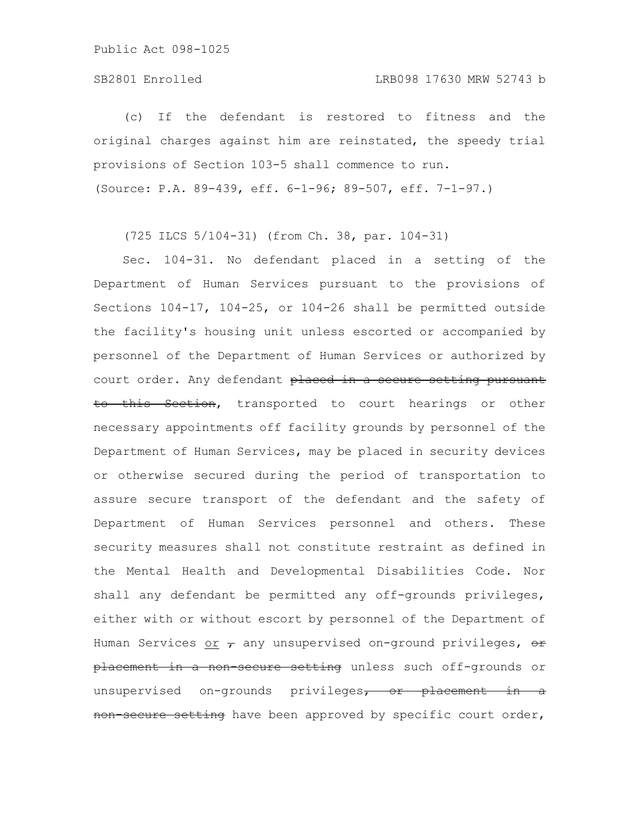(c) If the defendant is restored to fitness and the original charges against him are reinstated, the speedy trial provisions of Section 103-5 shall commence to run. (Source: P.A. 89-439, eff. 6-1-96; 89-507, eff. 7-1-97.)

(725 ILCS 5/104-31) (from Ch. 38, par. 104-31)

Sec. 104-31. No defendant placed in a setting of the Department of Human Services pursuant to the provisions of Sections 104-17, 104-25, or 104-26 shall be permitted outside the facility's housing unit unless escorted or accompanied by personnel of the Department of Human Services or authorized by court order. Any defendant placed in a secure setting pursuant to this Section, transported to court hearings or other necessary appointments off facility grounds by personnel of the Department of Human Services, may be placed in security devices or otherwise secured during the period of transportation to assure secure transport of the defendant and the safety of Department of Human Services personnel and others. These security measures shall not constitute restraint as defined in the Mental Health and Developmental Disabilities Code. Nor shall any defendant be permitted any off-grounds privileges, either with or without escort by personnel of the Department of Human Services or  $\tau$  any unsupervised on-ground privileges,  $\theta$ placement in a non-secure setting unless such off-grounds or unsupervised on-grounds privileges, or placement in a non secure setting have been approved by specific court order,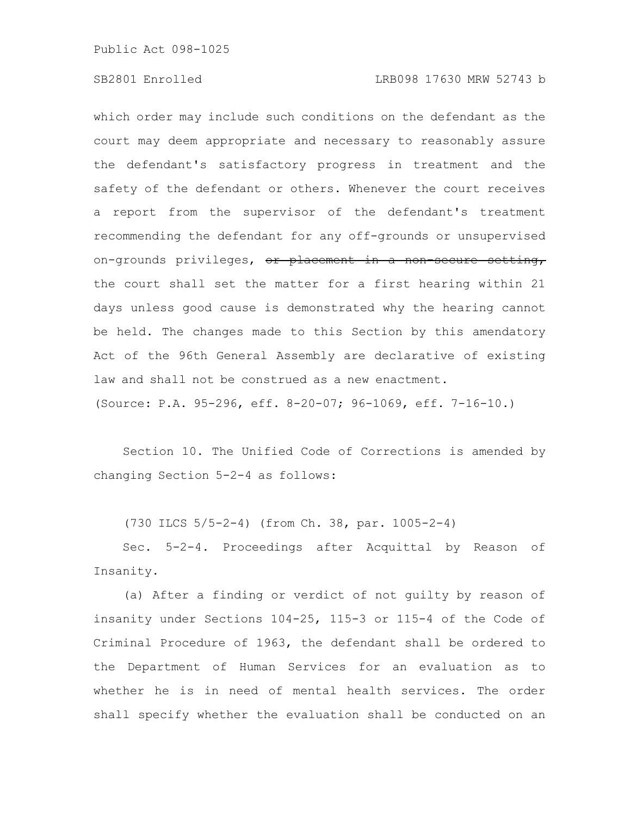### SB2801 Enrolled LRB098 17630 MRW 52743 b

which order may include such conditions on the defendant as the court may deem appropriate and necessary to reasonably assure the defendant's satisfactory progress in treatment and the safety of the defendant or others. Whenever the court receives a report from the supervisor of the defendant's treatment recommending the defendant for any off-grounds or unsupervised on-grounds privileges, or placement in a non secure setting, the court shall set the matter for a first hearing within 21 days unless good cause is demonstrated why the hearing cannot be held. The changes made to this Section by this amendatory Act of the 96th General Assembly are declarative of existing law and shall not be construed as a new enactment. (Source: P.A. 95-296, eff. 8-20-07; 96-1069, eff. 7-16-10.)

Section 10. The Unified Code of Corrections is amended by changing Section 5-2-4 as follows:

(730 ILCS 5/5-2-4) (from Ch. 38, par. 1005-2-4)

Sec. 5-2-4. Proceedings after Acquittal by Reason of Insanity.

(a) After a finding or verdict of not guilty by reason of insanity under Sections 104-25, 115-3 or 115-4 of the Code of Criminal Procedure of 1963, the defendant shall be ordered to the Department of Human Services for an evaluation as to whether he is in need of mental health services. The order shall specify whether the evaluation shall be conducted on an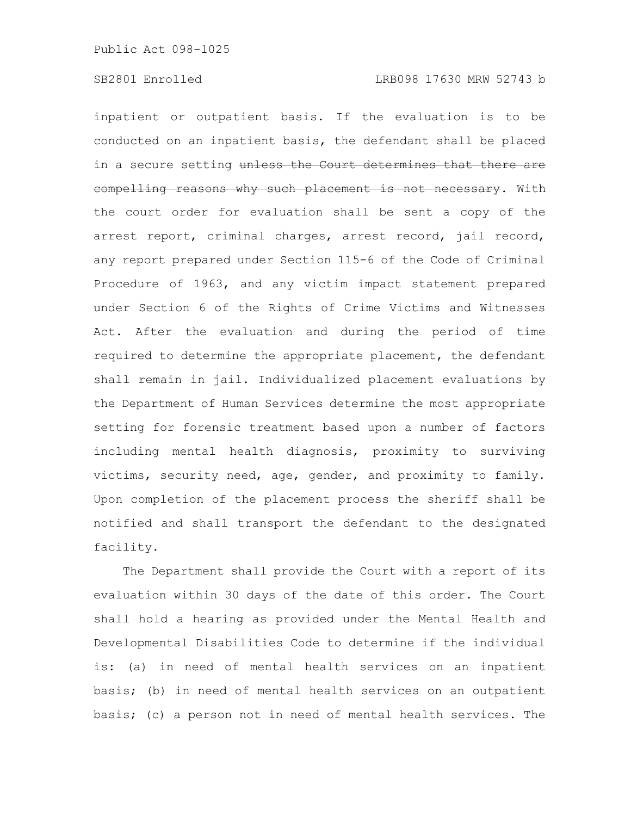inpatient or outpatient basis. If the evaluation is to be conducted on an inpatient basis, the defendant shall be placed in a secure setting unless the Court determines that there are compelling reasons why such placement is not necessary. With the court order for evaluation shall be sent a copy of the arrest report, criminal charges, arrest record, jail record, any report prepared under Section 115-6 of the Code of Criminal Procedure of 1963, and any victim impact statement prepared under Section 6 of the Rights of Crime Victims and Witnesses Act. After the evaluation and during the period of time required to determine the appropriate placement, the defendant shall remain in jail. Individualized placement evaluations by the Department of Human Services determine the most appropriate setting for forensic treatment based upon a number of factors including mental health diagnosis, proximity to surviving victims, security need, age, gender, and proximity to family. Upon completion of the placement process the sheriff shall be notified and shall transport the defendant to the designated facility.

The Department shall provide the Court with a report of its evaluation within 30 days of the date of this order. The Court shall hold a hearing as provided under the Mental Health and Developmental Disabilities Code to determine if the individual is: (a) in need of mental health services on an inpatient basis; (b) in need of mental health services on an outpatient basis; (c) a person not in need of mental health services. The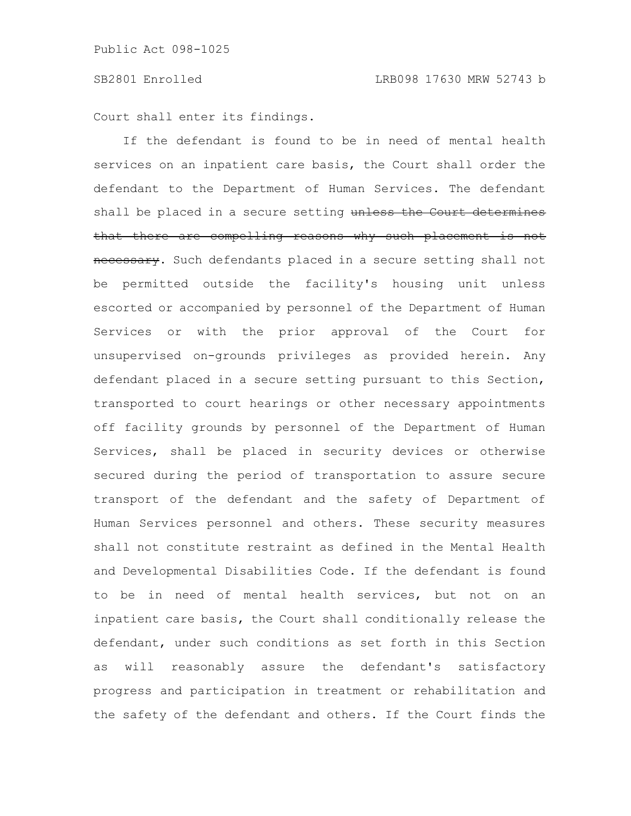Court shall enter its findings.

If the defendant is found to be in need of mental health services on an inpatient care basis, the Court shall order the defendant to the Department of Human Services. The defendant shall be placed in a secure setting unless the Court determines that there are compelling reasons why such placement is not necessary. Such defendants placed in a secure setting shall not be permitted outside the facility's housing unit unless escorted or accompanied by personnel of the Department of Human Services or with the prior approval of the Court for unsupervised on-grounds privileges as provided herein. Any defendant placed in a secure setting pursuant to this Section, transported to court hearings or other necessary appointments off facility grounds by personnel of the Department of Human Services, shall be placed in security devices or otherwise secured during the period of transportation to assure secure transport of the defendant and the safety of Department of Human Services personnel and others. These security measures shall not constitute restraint as defined in the Mental Health and Developmental Disabilities Code. If the defendant is found to be in need of mental health services, but not on an inpatient care basis, the Court shall conditionally release the defendant, under such conditions as set forth in this Section as will reasonably assure the defendant's satisfactory progress and participation in treatment or rehabilitation and the safety of the defendant and others. If the Court finds the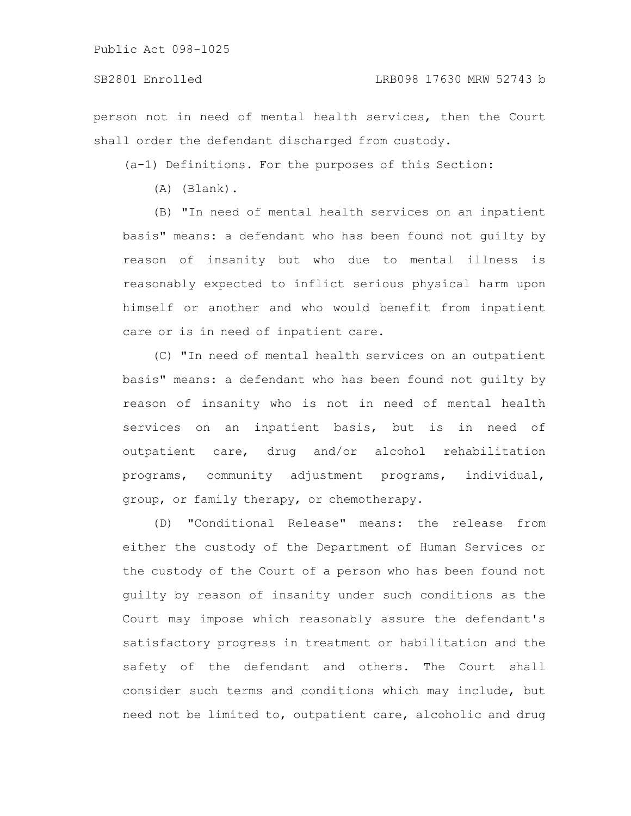person not in need of mental health services, then the Court shall order the defendant discharged from custody.

(a-1) Definitions. For the purposes of this Section:

(A) (Blank).

(B) "In need of mental health services on an inpatient basis" means: a defendant who has been found not guilty by reason of insanity but who due to mental illness is reasonably expected to inflict serious physical harm upon himself or another and who would benefit from inpatient care or is in need of inpatient care.

(C) "In need of mental health services on an outpatient basis" means: a defendant who has been found not guilty by reason of insanity who is not in need of mental health services on an inpatient basis, but is in need of outpatient care, drug and/or alcohol rehabilitation programs, community adjustment programs, individual, group, or family therapy, or chemotherapy.

(D) "Conditional Release" means: the release from either the custody of the Department of Human Services or the custody of the Court of a person who has been found not guilty by reason of insanity under such conditions as the Court may impose which reasonably assure the defendant's satisfactory progress in treatment or habilitation and the safety of the defendant and others. The Court shall consider such terms and conditions which may include, but need not be limited to, outpatient care, alcoholic and drug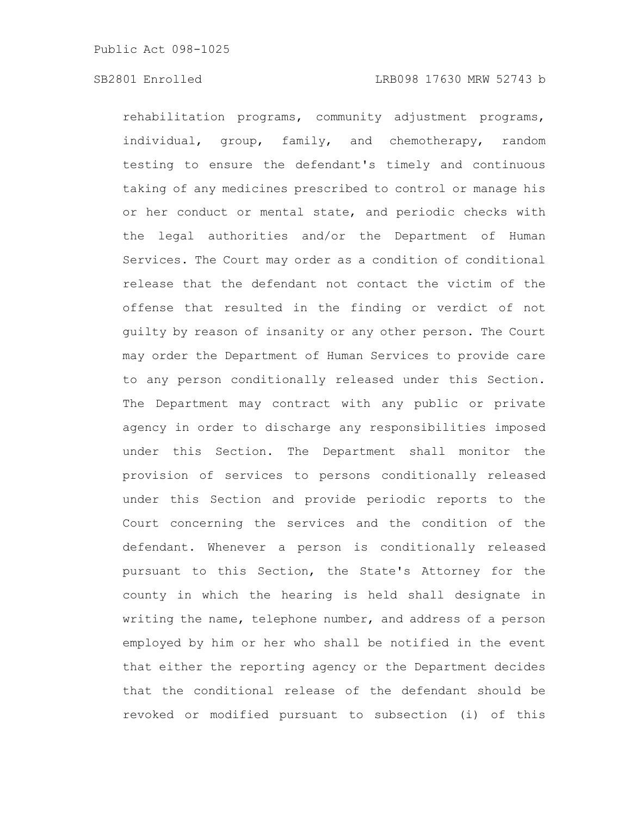rehabilitation programs, community adjustment programs, individual, group, family, and chemotherapy, random testing to ensure the defendant's timely and continuous taking of any medicines prescribed to control or manage his or her conduct or mental state, and periodic checks with the legal authorities and/or the Department of Human Services. The Court may order as a condition of conditional release that the defendant not contact the victim of the offense that resulted in the finding or verdict of not guilty by reason of insanity or any other person. The Court may order the Department of Human Services to provide care to any person conditionally released under this Section. The Department may contract with any public or private agency in order to discharge any responsibilities imposed under this Section. The Department shall monitor the provision of services to persons conditionally released under this Section and provide periodic reports to the Court concerning the services and the condition of the defendant. Whenever a person is conditionally released pursuant to this Section, the State's Attorney for the county in which the hearing is held shall designate in writing the name, telephone number, and address of a person employed by him or her who shall be notified in the event that either the reporting agency or the Department decides that the conditional release of the defendant should be revoked or modified pursuant to subsection (i) of this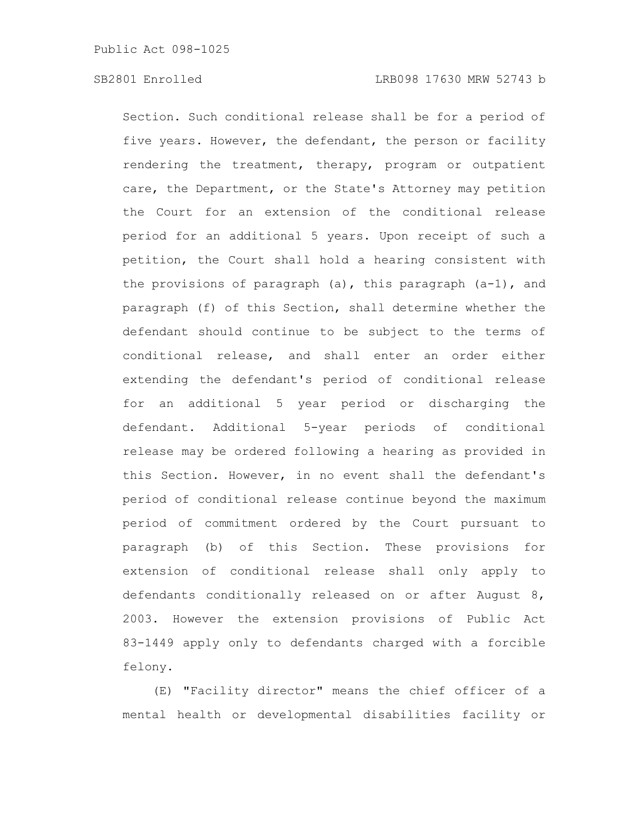Section. Such conditional release shall be for a period of five years. However, the defendant, the person or facility rendering the treatment, therapy, program or outpatient care, the Department, or the State's Attorney may petition the Court for an extension of the conditional release period for an additional 5 years. Upon receipt of such a petition, the Court shall hold a hearing consistent with the provisions of paragraph  $(a)$ , this paragraph  $(a-1)$ , and paragraph (f) of this Section, shall determine whether the defendant should continue to be subject to the terms of conditional release, and shall enter an order either extending the defendant's period of conditional release for an additional 5 year period or discharging the defendant. Additional 5-year periods of conditional release may be ordered following a hearing as provided in this Section. However, in no event shall the defendant's period of conditional release continue beyond the maximum period of commitment ordered by the Court pursuant to paragraph (b) of this Section. These provisions for extension of conditional release shall only apply to defendants conditionally released on or after August 8, 2003. However the extension provisions of Public Act 83-1449 apply only to defendants charged with a forcible felony.

(E) "Facility director" means the chief officer of a mental health or developmental disabilities facility or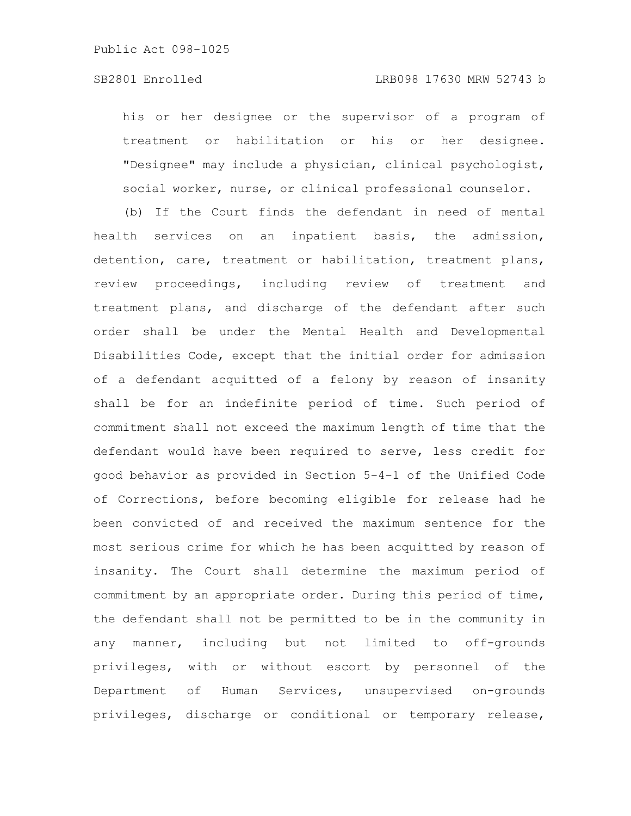his or her designee or the supervisor of a program of treatment or habilitation or his or her designee. "Designee" may include a physician, clinical psychologist, social worker, nurse, or clinical professional counselor.

(b) If the Court finds the defendant in need of mental health services on an inpatient basis, the admission, detention, care, treatment or habilitation, treatment plans, review proceedings, including review of treatment and treatment plans, and discharge of the defendant after such order shall be under the Mental Health and Developmental Disabilities Code, except that the initial order for admission of a defendant acquitted of a felony by reason of insanity shall be for an indefinite period of time. Such period of commitment shall not exceed the maximum length of time that the defendant would have been required to serve, less credit for good behavior as provided in Section 5-4-1 of the Unified Code of Corrections, before becoming eligible for release had he been convicted of and received the maximum sentence for the most serious crime for which he has been acquitted by reason of insanity. The Court shall determine the maximum period of commitment by an appropriate order. During this period of time, the defendant shall not be permitted to be in the community in any manner, including but not limited to off-grounds privileges, with or without escort by personnel of the Department of Human Services, unsupervised on-grounds privileges, discharge or conditional or temporary release,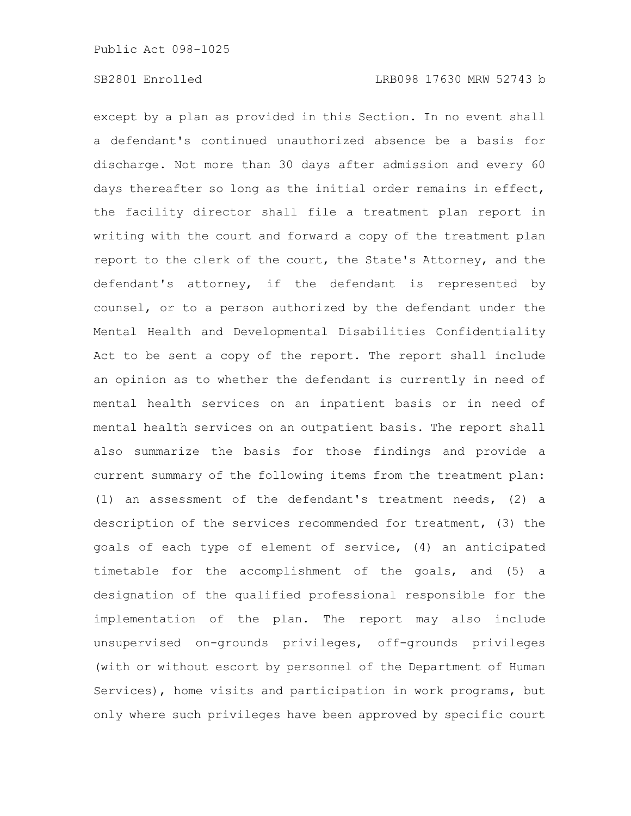except by a plan as provided in this Section. In no event shall a defendant's continued unauthorized absence be a basis for discharge. Not more than 30 days after admission and every 60 days thereafter so long as the initial order remains in effect, the facility director shall file a treatment plan report in writing with the court and forward a copy of the treatment plan report to the clerk of the court, the State's Attorney, and the defendant's attorney, if the defendant is represented by counsel, or to a person authorized by the defendant under the Mental Health and Developmental Disabilities Confidentiality Act to be sent a copy of the report. The report shall include an opinion as to whether the defendant is currently in need of mental health services on an inpatient basis or in need of mental health services on an outpatient basis. The report shall also summarize the basis for those findings and provide a current summary of the following items from the treatment plan: (1) an assessment of the defendant's treatment needs, (2) a description of the services recommended for treatment, (3) the goals of each type of element of service, (4) an anticipated timetable for the accomplishment of the goals, and (5) a designation of the qualified professional responsible for the implementation of the plan. The report may also include unsupervised on-grounds privileges, off-grounds privileges (with or without escort by personnel of the Department of Human Services), home visits and participation in work programs, but only where such privileges have been approved by specific court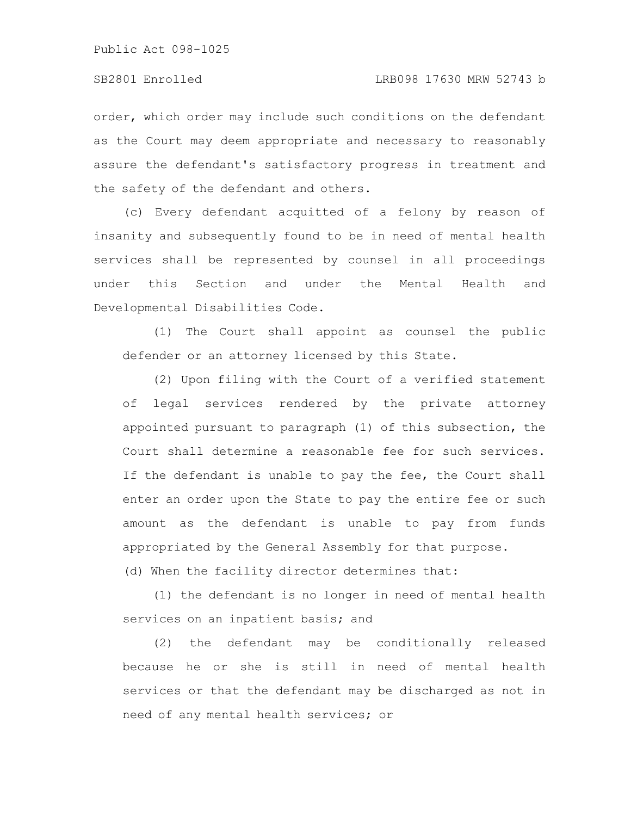order, which order may include such conditions on the defendant as the Court may deem appropriate and necessary to reasonably assure the defendant's satisfactory progress in treatment and the safety of the defendant and others.

(c) Every defendant acquitted of a felony by reason of insanity and subsequently found to be in need of mental health services shall be represented by counsel in all proceedings under this Section and under the Mental Health and Developmental Disabilities Code.

(1) The Court shall appoint as counsel the public defender or an attorney licensed by this State.

(2) Upon filing with the Court of a verified statement of legal services rendered by the private attorney appointed pursuant to paragraph (1) of this subsection, the Court shall determine a reasonable fee for such services. If the defendant is unable to pay the fee, the Court shall enter an order upon the State to pay the entire fee or such amount as the defendant is unable to pay from funds appropriated by the General Assembly for that purpose.

(d) When the facility director determines that:

(1) the defendant is no longer in need of mental health services on an inpatient basis; and

(2) the defendant may be conditionally released because he or she is still in need of mental health services or that the defendant may be discharged as not in need of any mental health services; or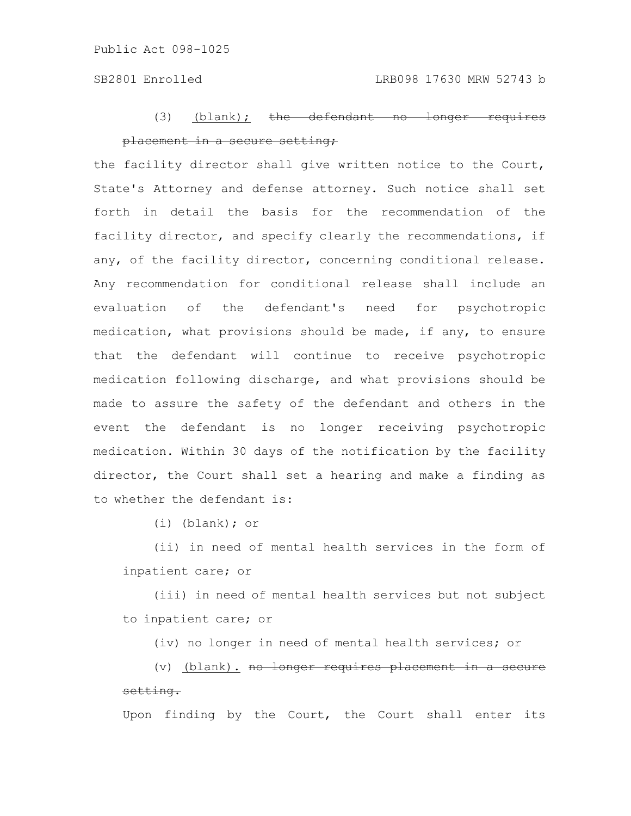## (3) (blank);  $the$  defendant no longer placement in a secure setting;

the facility director shall give written notice to the Court, State's Attorney and defense attorney. Such notice shall set forth in detail the basis for the recommendation of the facility director, and specify clearly the recommendations, if any, of the facility director, concerning conditional release. Any recommendation for conditional release shall include an evaluation of the defendant's need for psychotropic medication, what provisions should be made, if any, to ensure that the defendant will continue to receive psychotropic medication following discharge, and what provisions should be made to assure the safety of the defendant and others in the event the defendant is no longer receiving psychotropic medication. Within 30 days of the notification by the facility director, the Court shall set a hearing and make a finding as to whether the defendant is:

(i) (blank); or

(ii) in need of mental health services in the form of inpatient care; or

(iii) in need of mental health services but not subject to inpatient care; or

(iv) no longer in need of mental health services; or

(v) (blank). no longer requires placement in a secure setting.

Upon finding by the Court, the Court shall enter its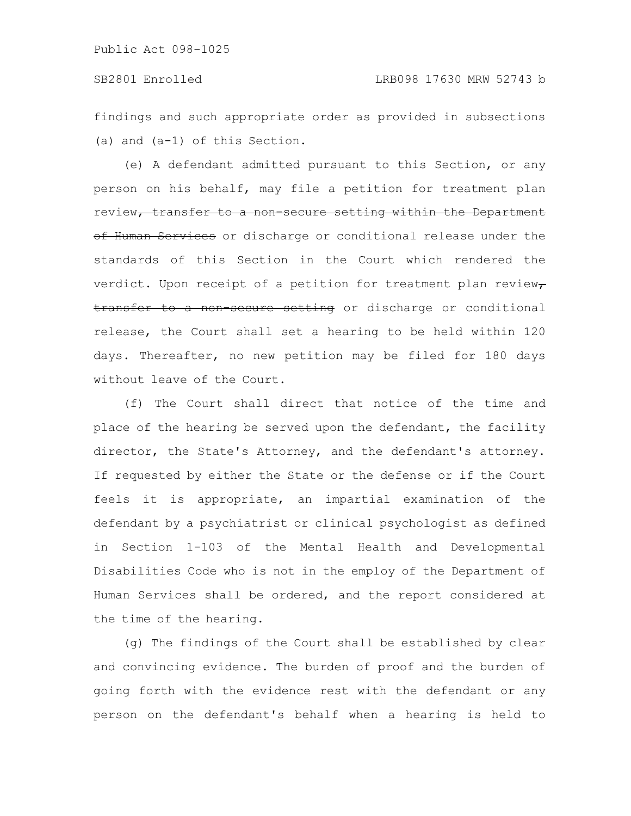### SB2801 Enrolled LRB098 17630 MRW 52743 b

findings and such appropriate order as provided in subsections (a) and (a-1) of this Section.

(e) A defendant admitted pursuant to this Section, or any person on his behalf, may file a petition for treatment plan review, transfer to a non secure setting within the Department of Human Services or discharge or conditional release under the standards of this Section in the Court which rendered the verdict. Upon receipt of a petition for treatment plan review $\tau$ transfer to a non secure setting or discharge or conditional release, the Court shall set a hearing to be held within 120 days. Thereafter, no new petition may be filed for 180 days without leave of the Court.

(f) The Court shall direct that notice of the time and place of the hearing be served upon the defendant, the facility director, the State's Attorney, and the defendant's attorney. If requested by either the State or the defense or if the Court feels it is appropriate, an impartial examination of the defendant by a psychiatrist or clinical psychologist as defined in Section 1-103 of the Mental Health and Developmental Disabilities Code who is not in the employ of the Department of Human Services shall be ordered, and the report considered at the time of the hearing.

(g) The findings of the Court shall be established by clear and convincing evidence. The burden of proof and the burden of going forth with the evidence rest with the defendant or any person on the defendant's behalf when a hearing is held to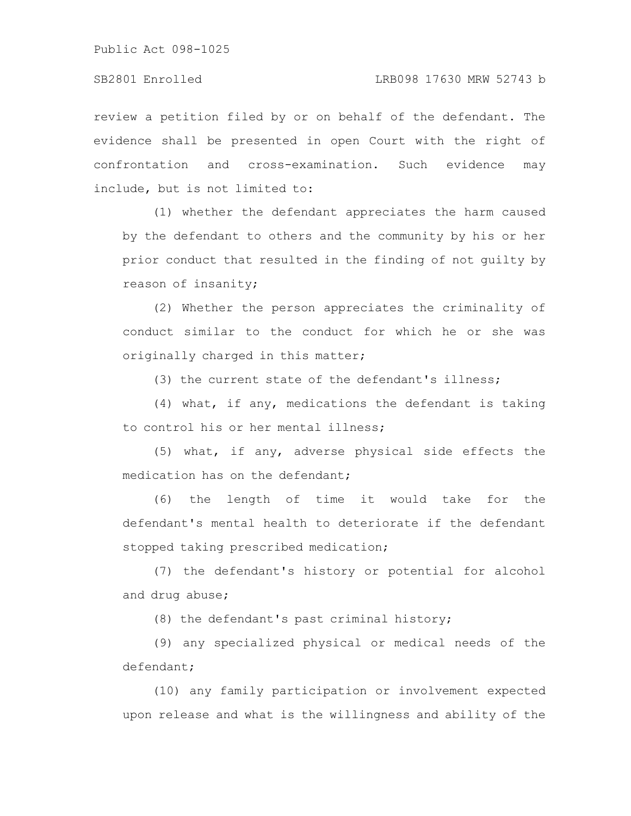review a petition filed by or on behalf of the defendant. The evidence shall be presented in open Court with the right of confrontation and cross-examination. Such evidence may include, but is not limited to:

(1) whether the defendant appreciates the harm caused by the defendant to others and the community by his or her prior conduct that resulted in the finding of not guilty by reason of insanity;

(2) Whether the person appreciates the criminality of conduct similar to the conduct for which he or she was originally charged in this matter;

(3) the current state of the defendant's illness;

(4) what, if any, medications the defendant is taking to control his or her mental illness;

(5) what, if any, adverse physical side effects the medication has on the defendant;

(6) the length of time it would take for the defendant's mental health to deteriorate if the defendant stopped taking prescribed medication;

(7) the defendant's history or potential for alcohol and drug abuse;

(8) the defendant's past criminal history;

(9) any specialized physical or medical needs of the defendant;

(10) any family participation or involvement expected upon release and what is the willingness and ability of the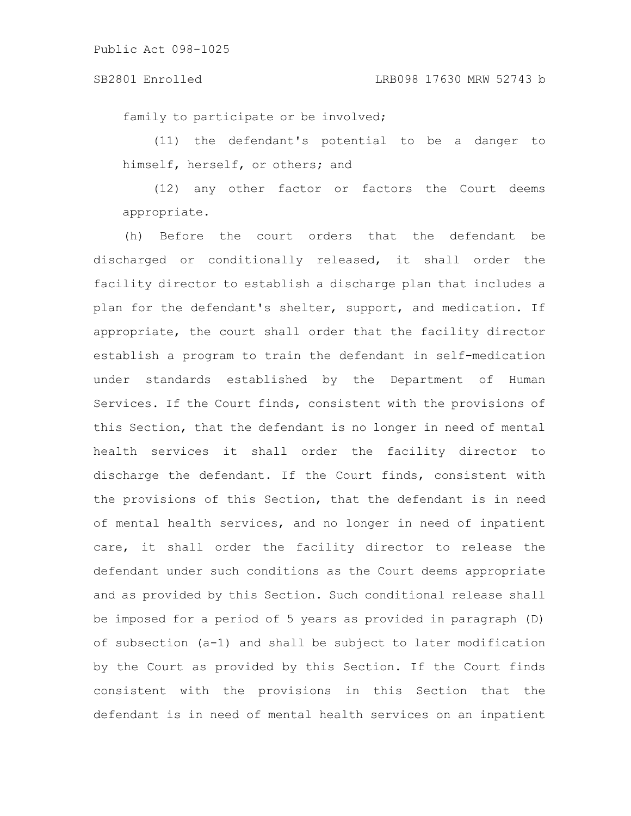family to participate or be involved;

(11) the defendant's potential to be a danger to himself, herself, or others; and

(12) any other factor or factors the Court deems appropriate.

(h) Before the court orders that the defendant be discharged or conditionally released, it shall order the facility director to establish a discharge plan that includes a plan for the defendant's shelter, support, and medication. If appropriate, the court shall order that the facility director establish a program to train the defendant in self-medication under standards established by the Department of Human Services. If the Court finds, consistent with the provisions of this Section, that the defendant is no longer in need of mental health services it shall order the facility director to discharge the defendant. If the Court finds, consistent with the provisions of this Section, that the defendant is in need of mental health services, and no longer in need of inpatient care, it shall order the facility director to release the defendant under such conditions as the Court deems appropriate and as provided by this Section. Such conditional release shall be imposed for a period of 5 years as provided in paragraph (D) of subsection (a-1) and shall be subject to later modification by the Court as provided by this Section. If the Court finds consistent with the provisions in this Section that the defendant is in need of mental health services on an inpatient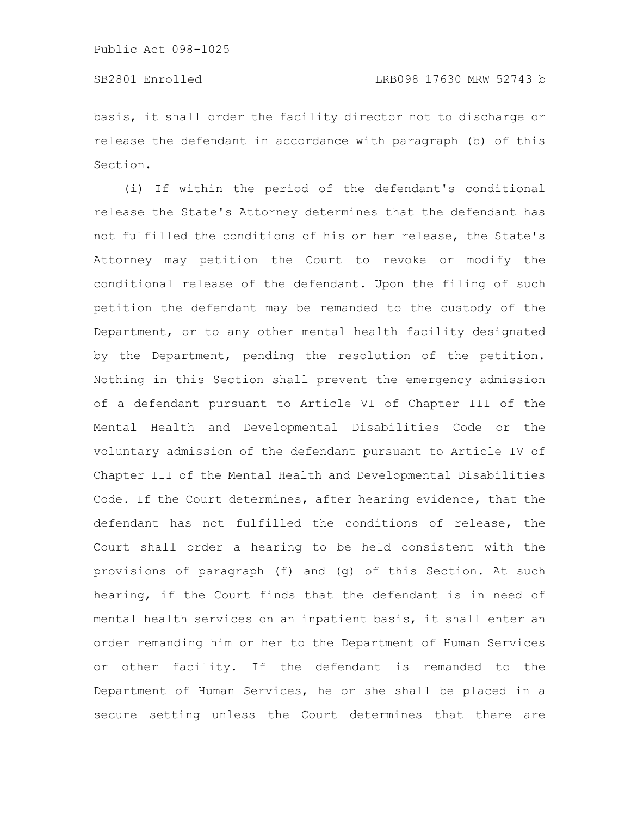basis, it shall order the facility director not to discharge or release the defendant in accordance with paragraph (b) of this Section.

(i) If within the period of the defendant's conditional release the State's Attorney determines that the defendant has not fulfilled the conditions of his or her release, the State's Attorney may petition the Court to revoke or modify the conditional release of the defendant. Upon the filing of such petition the defendant may be remanded to the custody of the Department, or to any other mental health facility designated by the Department, pending the resolution of the petition. Nothing in this Section shall prevent the emergency admission of a defendant pursuant to Article VI of Chapter III of the Mental Health and Developmental Disabilities Code or the voluntary admission of the defendant pursuant to Article IV of Chapter III of the Mental Health and Developmental Disabilities Code. If the Court determines, after hearing evidence, that the defendant has not fulfilled the conditions of release, the Court shall order a hearing to be held consistent with the provisions of paragraph (f) and (g) of this Section. At such hearing, if the Court finds that the defendant is in need of mental health services on an inpatient basis, it shall enter an order remanding him or her to the Department of Human Services or other facility. If the defendant is remanded to the Department of Human Services, he or she shall be placed in a secure setting unless the Court determines that there are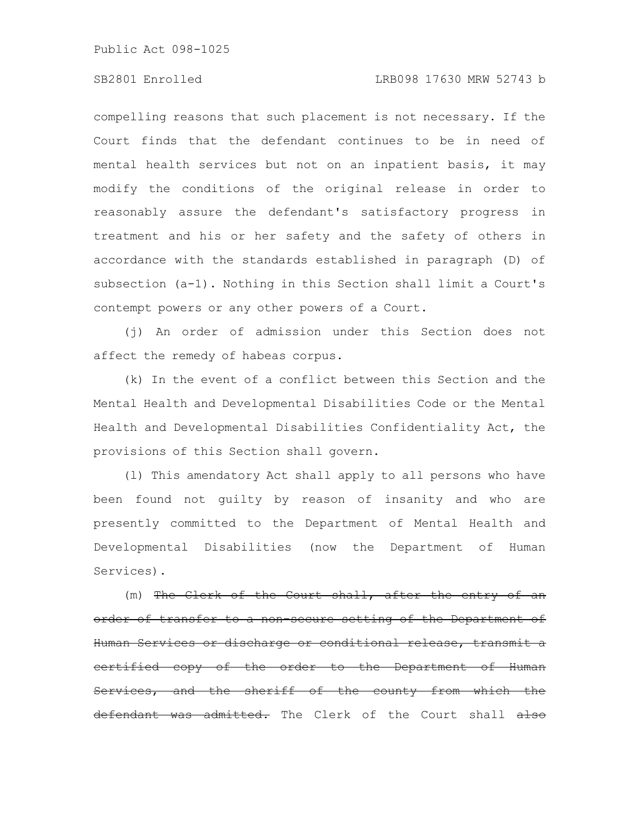### SB2801 Enrolled LRB098 17630 MRW 52743 b

compelling reasons that such placement is not necessary. If the Court finds that the defendant continues to be in need of mental health services but not on an inpatient basis, it may modify the conditions of the original release in order to reasonably assure the defendant's satisfactory progress in treatment and his or her safety and the safety of others in accordance with the standards established in paragraph (D) of subsection (a-1). Nothing in this Section shall limit a Court's contempt powers or any other powers of a Court.

(j) An order of admission under this Section does not affect the remedy of habeas corpus.

(k) In the event of a conflict between this Section and the Mental Health and Developmental Disabilities Code or the Mental Health and Developmental Disabilities Confidentiality Act, the provisions of this Section shall govern.

(l) This amendatory Act shall apply to all persons who have been found not guilty by reason of insanity and who are presently committed to the Department of Mental Health and Developmental Disabilities (now the Department of Human Services).

(m) The Clerk of the Court shall, after the order of transfer to a non-secure setting of the Department of Human Services or discharge or conditional release, <u>eertified copy of the order to the Department of</u> Services, and the sheriff of the county from which the defendant was admitted. The Clerk of the Court shall also